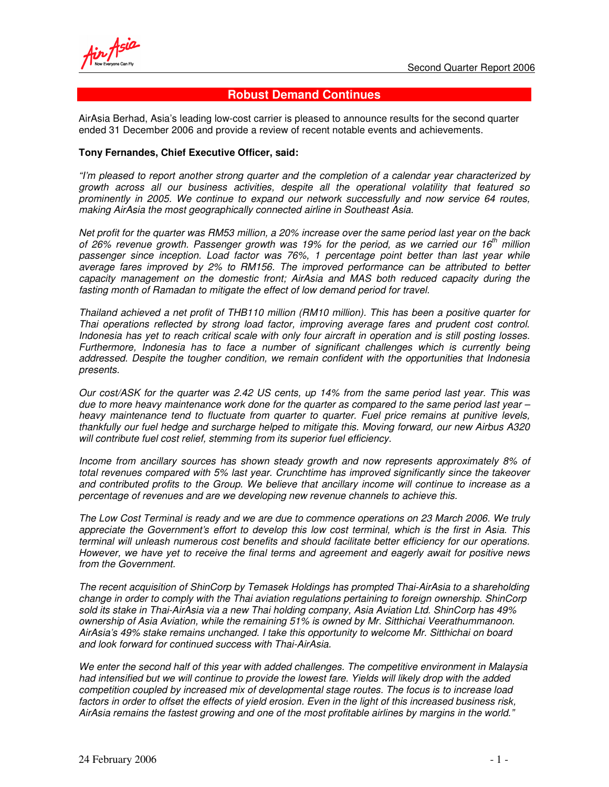# **Robust Demand Continues**

AirAsia Berhad, Asia's leading low-cost carrier is pleased to announce results for the second quarter ended 31 December 2006 and provide a review of recent notable events and achievements.

#### **Tony Fernandes, Chief Executive Officer, said:**

*"I'm pleased to report another strong quarter and the completion of a calendar year characterized by growth across all our business activities, despite all the operational volatility that featured so prominently in 2005. We continue to expand our network successfully and now service 64 routes, making AirAsia the most geographically connected airline in Southeast Asia.*

Net profit for the quarter was RM53 million, a 20% increase over the same period last year on the back *of 26% revenue growth. Passenger growth was 19% for the period, as we carried our 16 th million passenger since inception. Load factor was 76%, 1 percentage point better than last year while average fares improved by 2% to RM156. The improved performance can be attributed to better capacity management on the domestic front; AirAsia and MAS both reduced capacity during the fasting month of Ramadan to mitigate the effect of low demand period for travel.*

*Thailand achieved a net profit of THB110 million (RM10 million). This has been a positive quarter for Thai operations reflected by strong load factor, improving average fares and prudent cost control.* Indonesia has vet to reach critical scale with only four aircraft in operation and is still posting losses. *Furthermore, Indonesia has to face a number of significant challenges which is currently being addressed. Despite the tougher condition, we remain confident with the opportunities that Indonesia presents.*

Our cost/ASK for the quarter was 2.42 US cents, up 14% from the same period last year. This was due to more heavy maintenance work done for the quarter as compared to the same period last year  $$ *heavy maintenance tend to fluctuate from quarter to quarter. Fuel price remains at punitive levels, thankfully our fuel hedge and surcharge helped to mitigate this. Moving forward, our new Airbus A320 will contribute fuel cost relief, stemming from its superior fuel efficiency.*

*Income from ancillary sources has shown steady growth and now represents approximately 8% of total revenues compared with 5% last year. Crunchtime has improved significantly since the takeover and contributed profits to the Group. We believe that ancillary income will continue to increase as a percentage of revenues and are we developing new revenue channels to achieve this.*

The Low Cost Terminal is ready and we are due to commence operations on 23 March 2006. We truly *appreciate the Government's effort to develop this low cost terminal, which is the first in Asia. This terminal will unleash numerous cost benefits and should facilitate better efficiency for our operations. However, we have yet to receive the final terms and agreement and eagerly await for positive news from the Government.*

*The recent acquisition of ShinCorp by Temasek Holdings has prompted Thai-AirAsia to a shareholding change in order to comply with the Thai aviation regulations pertaining to foreign ownership. ShinCorp sold its stake in Thai-AirAsia via a new Thai holding company, Asia Aviation Ltd. ShinCorp has 49% ownership of Asia Aviation, while the remaining 51% is owned by Mr. Sitthichai Veerathummanoon. AirAsia's 49% stake remains unchanged. I take this opportunity to welcome Mr. Sitthichai on board and look forward for continued success with Thai-AirAsia.*

*We enter the second half of this year with added challenges. The competitive environment in Malaysia* had intensified but we will continue to provide the lowest fare. Yields will likely drop with the added *competition coupled by increased mix of developmental stage routes. The focus is to increase load* factors in order to offset the effects of yield erosion. Even in the light of this increased business risk, *AirAsia remains the fastest growing and one of the most profitable airlines by margins in the world."*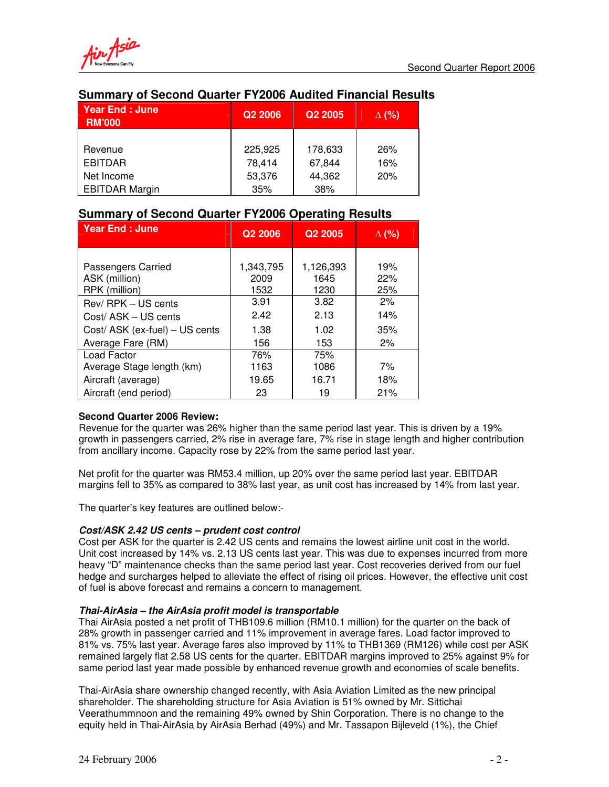

# **Summary of Second Quarter FY2006 Audited Financial Results**

| <b>Year End: June</b><br><b>RM'000</b> | Q <sub>2</sub> 2006 | Q <sub>2</sub> 2005 | $\Delta$ (%) |
|----------------------------------------|---------------------|---------------------|--------------|
|                                        |                     |                     |              |
| Revenue                                | 225.925             | 178,633             | 26%          |
| <b>EBITDAR</b>                         | 78,414              | 67,844              | 16%          |
| Net Income                             | 53,376              | 44,362              | 20%          |
| <b>EBITDAR Margin</b>                  | 35%                 | 38%                 |              |

# **Summary of Second Quarter FY2006 Operating Results**

| Year End : June                                      | Q2 2006                   | Q <sub>2</sub> 2005       | $\Delta$ (%)      |
|------------------------------------------------------|---------------------------|---------------------------|-------------------|
| Passengers Carried<br>ASK (million)<br>RPK (million) | 1,343,795<br>2009<br>1532 | 1,126,393<br>1645<br>1230 | 19%<br>22%<br>25% |
| Rev/RPK - US cents                                   | 3.91                      | 3.82                      | 2%                |
| Cost/ASK - US cents                                  | 2.42                      | 2.13                      | 14%               |
| Cost/ ASK (ex-fuel) - US cents                       | 1.38                      | 1.02                      | 35%               |
| Average Fare (RM)                                    | 156                       | 153                       | 2%                |
| Load Factor                                          | 76%                       | 75%                       |                   |
| Average Stage length (km)                            | 1163                      | 1086                      | 7%                |
| Aircraft (average)                                   | 19.65                     | 16.71                     | 18%               |
| Aircraft (end period)                                | 23                        | 19                        | 21%               |

## **Second Quarter 2006 Review:**

Revenue for the quarter was 26% higher than the same period last year. This is driven by a 19% growth in passengers carried, 2% rise in average fare, 7% rise in stage length and higher contribution from ancillary income. Capacity rose by 22% from the same period last year.

Net profit for the quarter was RM53.4 million, up 20% over the same period last year. EBITDAR margins fell to 35% as compared to 38% last year, as unit cost has increased by 14% from last year.

The quarter's key features are outlined below:-

## *Cost/ASK 2.42 US cents – prudent cost control*

Cost per ASK for the quarter is 2.42 US cents and remains the lowest airline unit cost in the world. Unit cost increased by 14% vs. 2.13 US cents last year. This was due to expenses incurred from more heavy "D" maintenance checks than the same period last year. Cost recoveries derived from our fuel hedge and surcharges helped to alleviate the effect of rising oil prices. However, the effective unit cost of fuel is above forecast and remains a concern to management.

## *Thai-AirAsia – the AirAsia profit model is transportable*

Thai AirAsia posted a net profit of THB109.6 million (RM10.1 million) for the quarter on the back of 28% growth in passenger carried and 11% improvement in average fares. Load factor improved to 81% vs. 75% last year. Average fares also improved by 11% to THB1369 (RM126) while cost per ASK remained largely flat 2.58 US cents for the quarter. EBITDAR margins improved to 25% against 9% for same period last year made possible by enhanced revenue growth and economies of scale benefits.

Thai-AirAsia share ownership changed recently, with Asia Aviation Limited as the new principal shareholder. The shareholding structure for Asia Aviation is 51% owned by Mr. Sittichai Veerathummnoon and the remaining 49% owned by Shin Corporation. There is no change to the equity held in Thai-AirAsia by AirAsia Berhad (49%) and Mr. Tassapon Bijleveld (1%), the Chief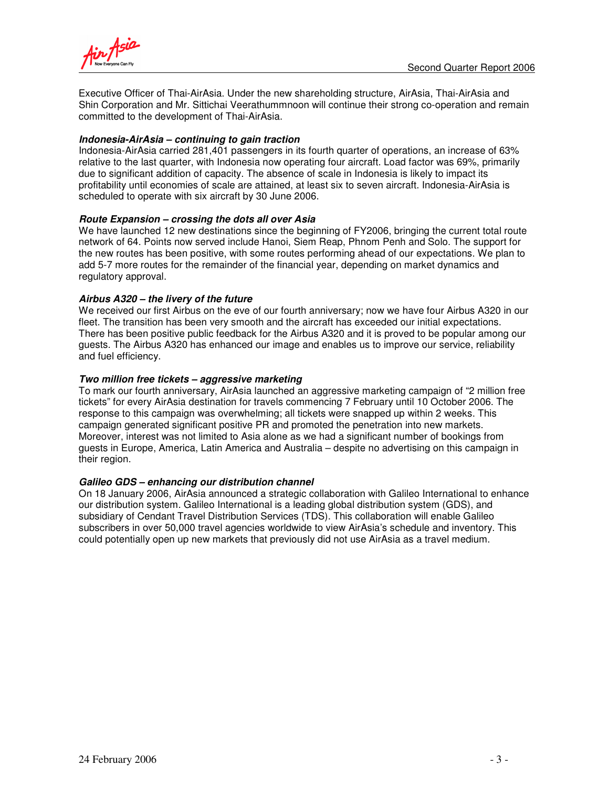

Executive Officer of Thai-AirAsia. Under the new shareholding structure, AirAsia, Thai-AirAsia and Shin Corporation and Mr. Sittichai Veerathummnoon will continue their strong co-operation and remain committed to the development of Thai-AirAsia.

### *Indonesia-AirAsia – continuing to gain traction*

Indonesia-AirAsia carried 281,401 passengers in its fourth quarter of operations, an increase of 63% relative to the last quarter, with Indonesia now operating four aircraft. Load factor was 69%, primarily due to significant addition of capacity. The absence of scale in Indonesia is likely to impact its profitability until economies of scale are attained, at least six to seven aircraft. Indonesia-AirAsia is scheduled to operate with six aircraft by 30 June 2006.

### *Route Expansion – crossing the dots all over Asia*

We have launched 12 new destinations since the beginning of FY2006, bringing the current total route network of 64. Points now served include Hanoi, Siem Reap, Phnom Penh and Solo. The support for the new routes has been positive, with some routes performing ahead of our expectations. We plan to add 5-7 more routes for the remainder of the financial year, depending on market dynamics and regulatory approval.

### *Airbus A320 – the livery of the future*

We received our first Airbus on the eve of our fourth anniversary; now we have four Airbus A320 in our fleet. The transition has been very smooth and the aircraft has exceeded our initial expectations. There has been positive public feedback for the Airbus A320 and it is proved to be popular among our guests. The Airbus A320 has enhanced our image and enables us to improve our service, reliability and fuel efficiency.

### *Two million free tickets – aggressive marketing*

To mark our fourth anniversary, AirAsia launched an aggressive marketing campaign of "2 million free tickets" for every AirAsia destination for travels commencing 7 February until 10 October 2006. The response to this campaign was overwhelming; all tickets were snapped up within 2 weeks. This campaign generated significant positive PR and promoted the penetration into new markets. Moreover, interest was not limited to Asia alone as we had a significant number of bookings from guests in Europe, America, Latin America and Australia – despite no advertising on this campaign in their region.

#### *Galileo GDS – enhancing our distribution channel*

On 18 January 2006, AirAsia announced a strategic collaboration with Galileo International to enhance our distribution system. Galileo International is a leading global distribution system (GDS), and subsidiary of Cendant Travel Distribution Services (TDS). This collaboration will enable Galileo subscribers in over 50,000 travel agencies worldwide to view AirAsia's schedule and inventory. This could potentially open up new markets that previously did not use AirAsia as a travel medium.